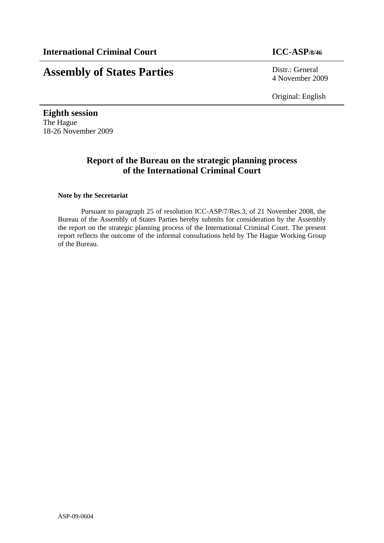# **Assembly of States Parties** Distr.: General

4 November 2009

Original: English

**Eighth session**  The Hague 18-26 November 2009

### **Report of the Bureau on the strategic planning process of the International Criminal Court**

#### **Note by the Secretariat**

Pursuant to paragraph 25 of resolution ICC-ASP/7/Res.3, of 21 November 2008, the Bureau of the Assembly of States Parties hereby submits for consideration by the Assembly the report on the strategic planning process of the International Criminal Court. The present report reflects the outcome of the informal consultations held by The Hague Working Group of the Bureau.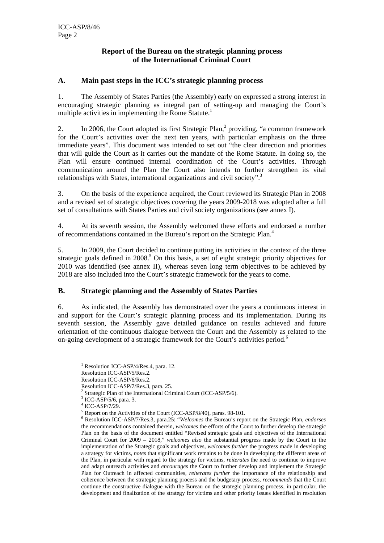#### **Report of the Bureau on the strategic planning process of the International Criminal Court**

#### **A. Main past steps in the ICC's strategic planning process**

1. The Assembly of States Parties (the Assembly) early on expressed a strong interest in encouraging strategic planning as integral part of setting-up and managing the Court's multiple activities in implementing the Rome Statute.<sup>1</sup>

2. In 2006, the Court adopted its first Strategic Plan, $<sup>2</sup>$  providing, "a common framework</sup> for the Court's activities over the next ten years, with particular emphasis on the three immediate years". This document was intended to set out "the clear direction and priorities that will guide the Court as it carries out the mandate of the Rome Statute. In doing so, the Plan will ensure continued internal coordination of the Court's activities. Through communication around the Plan the Court also intends to further strengthen its vital relationships with States, international organizations and civil society".<sup>3</sup>

3. On the basis of the experience acquired, the Court reviewed its Strategic Plan in 2008 and a revised set of strategic objectives covering the years 2009-2018 was adopted after a full set of consultations with States Parties and civil society organizations (see annex I).

4. At its seventh session, the Assembly welcomed these efforts and endorsed a number of recommendations contained in the Bureau's report on the Strategic Plan.4

5. In 2009, the Court decided to continue putting its activities in the context of the three strategic goals defined in 2008.<sup>5</sup> On this basis, a set of eight strategic priority objectives for 2010 was identified (see annex II), whereas seven long term objectives to be achieved by 2018 are also included into the Court's strategic framework for the years to come.

#### **B. Strategic planning and the Assembly of States Parties**

6. As indicated, the Assembly has demonstrated over the years a continuous interest in and support for the Court's strategic planning process and its implementation. During its seventh session, the Assembly gave detailed guidance on results achieved and future orientation of the continuous dialogue between the Court and the Assembly as related to the on-going development of a strategic framework for the Court's activities period.<sup>6</sup>

 <sup>1</sup> Resolution ICC-ASP/4/Res.4, para. 12.

Resolution ICC-ASP/5/Res.2.

Resolution ICC-ASP/6/Res.2.

Resolution ICC-ASP/7/Res.3, para. 25.

<sup>&</sup>lt;sup>2</sup> Strategic Plan of the International Criminal Court (ICC-ASP/5/6).

<sup>3</sup> ICC-ASP/5/6, para. 3.

<sup>4</sup> ICC-ASP/7/29.

<sup>5</sup> Report on the Activities of the Court (ICC-ASP/8/40), paras. 98-101.

<sup>6</sup> Resolution ICC-ASP/7/Res.3, para.25: "*Welcomes* the Bureau's report on the Strategic Plan, *endorses* the recommendations contained therein, *welcomes* the efforts of the Court to further develop the strategic Plan on the basis of the document entitled "Revised strategic goals and objectives of the International Criminal Court for 2009 – 2018," *welcomes also* the substantial progress made by the Court in the implementation of the Strategic goals and objectives, *welcomes further* the progress made in developing a strategy for victims, *notes* that significant work remains to be done in developing the different areas of the Plan, in particular with regard to the strategy for victims, *reiterates* the need to continue to improve and adapt outreach activities and *encourages* the Court to further develop and implement the Strategic Plan for Outreach in affected communities, *reiterates further* the importance of the relationship and coherence between the strategic planning process and the budgetary process, *recommends* that the Court continue the constructive dialogue with the Bureau on the strategic planning process, in particular, the development and finalization of the strategy for victims and other priority issues identified in resolution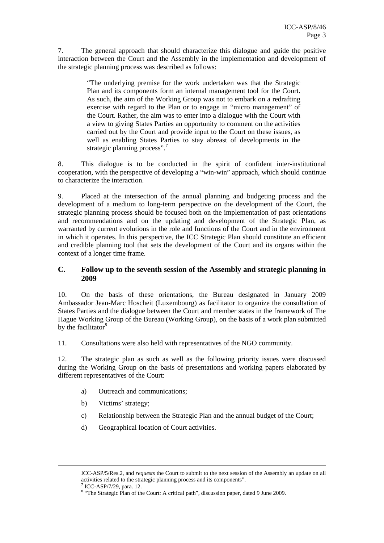7. The general approach that should characterize this dialogue and guide the positive interaction between the Court and the Assembly in the implementation and development of the strategic planning process was described as follows:

> "The underlying premise for the work undertaken was that the Strategic Plan and its components form an internal management tool for the Court. As such, the aim of the Working Group was not to embark on a redrafting exercise with regard to the Plan or to engage in "micro management" of the Court. Rather, the aim was to enter into a dialogue with the Court with a view to giving States Parties an opportunity to comment on the activities carried out by the Court and provide input to the Court on these issues, as well as enabling States Parties to stay abreast of developments in the strategic planning process".<sup>7</sup>

8. This dialogue is to be conducted in the spirit of confident inter-institutional cooperation, with the perspective of developing a "win-win" approach, which should continue to characterize the interaction.

9. Placed at the intersection of the annual planning and budgeting process and the development of a medium to long-term perspective on the development of the Court, the strategic planning process should be focused both on the implementation of past orientations and recommendations and on the updating and development of the Strategic Plan, as warranted by current evolutions in the role and functions of the Court and in the environment in which it operates. In this perspective, the ICC Strategic Plan should constitute an efficient and credible planning tool that sets the development of the Court and its organs within the context of a longer time frame.

#### **C. Follow up to the seventh session of the Assembly and strategic planning in 2009**

10. On the basis of these orientations, the Bureau designated in January 2009 Ambassador Jean-Marc Hoscheit (Luxembourg) as facilitator to organize the consultation of States Parties and the dialogue between the Court and member states in the framework of The Hague Working Group of the Bureau (Working Group), on the basis of a work plan submitted by the facilitator $8$ 

11. Consultations were also held with representatives of the NGO community.

12. The strategic plan as such as well as the following priority issues were discussed during the Working Group on the basis of presentations and working papers elaborated by different representatives of the Court:

- a) Outreach and communications;
- b) Victims' strategy;
- c) Relationship between the Strategic Plan and the annual budget of the Court;
- d) Geographical location of Court activities.

<u> 1989 - Johann Stoff, deutscher Stoff, der Stoff, der Stoff, der Stoff, der Stoff, der Stoff, der Stoff, der S</u>

ICC-ASP/5/Res.2, and *requests* the Court to submit to the next session of the Assembly an update on all activities related to the strategic planning process and its components".

<sup>&</sup>lt;sup>7</sup> ICC-ASP/7/29, para. 12.

<sup>&</sup>lt;sup>8</sup> "The Strategic Plan of the Court: A critical path", discussion paper, dated 9 June 2009.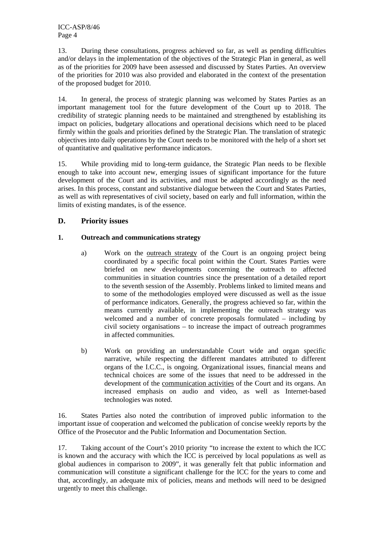13. During these consultations, progress achieved so far, as well as pending difficulties and/or delays in the implementation of the objectives of the Strategic Plan in general, as well as of the priorities for 2009 have been assessed and discussed by States Parties. An overview of the priorities for 2010 was also provided and elaborated in the context of the presentation of the proposed budget for 2010.

14. In general, the process of strategic planning was welcomed by States Parties as an important management tool for the future development of the Court up to 2018. The credibility of strategic planning needs to be maintained and strengthened by establishing its impact on policies, budgetary allocations and operational decisions which need to be placed firmly within the goals and priorities defined by the Strategic Plan. The translation of strategic objectives into daily operations by the Court needs to be monitored with the help of a short set of quantitative and qualitative performance indicators.

15. While providing mid to long-term guidance, the Strategic Plan needs to be flexible enough to take into account new, emerging issues of significant importance for the future development of the Court and its activities, and must be adapted accordingly as the need arises. In this process, constant and substantive dialogue between the Court and States Parties, as well as with representatives of civil society, based on early and full information, within the limits of existing mandates, is of the essence.

#### **D. Priority issues**

#### **1. Outreach and communications strategy**

- a) Work on the outreach strategy of the Court is an ongoing project being coordinated by a specific focal point within the Court. States Parties were briefed on new developments concerning the outreach to affected communities in situation countries since the presentation of a detailed report to the seventh session of the Assembly. Problems linked to limited means and to some of the methodologies employed were discussed as well as the issue of performance indicators. Generally, the progress achieved so far, within the means currently available, in implementing the outreach strategy was welcomed and a number of concrete proposals formulated – including by civil society organisations – to increase the impact of outreach programmes in affected communities.
- b) Work on providing an understandable Court wide and organ specific narrative, while respecting the different mandates attributed to different organs of the I.C.C., is ongoing. Organizational issues, financial means and technical choices are some of the issues that need to be addressed in the development of the communication activities of the Court and its organs. An increased emphasis on audio and video, as well as Internet-based technologies was noted.

16. States Parties also noted the contribution of improved public information to the important issue of cooperation and welcomed the publication of concise weekly reports by the Office of the Prosecutor and the Public Information and Documentation Section.

17. Taking account of the Court's 2010 priority "to increase the extent to which the ICC is known and the accuracy with which the ICC is perceived by local populations as well as global audiences in comparison to 2009", it was generally felt that public information and communication will constitute a significant challenge for the ICC for the years to come and that, accordingly, an adequate mix of policies, means and methods will need to be designed urgently to meet this challenge.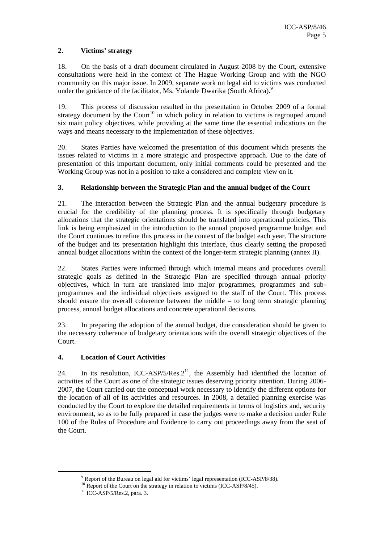#### **2. Victims' strategy**

18. On the basis of a draft document circulated in August 2008 by the Court, extensive consultations were held in the context of The Hague Working Group and with the NGO community on this major issue. In 2009, separate work on legal aid to victims was conducted under the guidance of the facilitator, Ms. Yolande Dwarika (South Africa).<sup>9</sup>

19. This process of discussion resulted in the presentation in October 2009 of a formal strategy document by the Court<sup>10</sup> in which policy in relation to victims is regrouped around six main policy objectives, while providing at the same time the essential indications on the ways and means necessary to the implementation of these objectives.

20. States Parties have welcomed the presentation of this document which presents the issues related to victims in a more strategic and prospective approach. Due to the date of presentation of this important document, only initial comments could be presented and the Working Group was not in a position to take a considered and complete view on it.

#### **3. Relationship between the Strategic Plan and the annual budget of the Court**

21. The interaction between the Strategic Plan and the annual budgetary procedure is crucial for the credibility of the planning process. It is specifically through budgetary allocations that the strategic orientations should be translated into operational policies. This link is being emphasized in the introduction to the annual proposed programme budget and the Court continues to refine this process in the context of the budget each year. The structure of the budget and its presentation highlight this interface, thus clearly setting the proposed annual budget allocations within the context of the longer-term strategic planning (annex II).

22. States Parties were informed through which internal means and procedures overall strategic goals as defined in the Strategic Plan are specified through annual priority objectives, which in turn are translated into major programmes, programmes and subprogrammes and the individual objectives assigned to the staff of the Court. This process should ensure the overall coherence between the middle – to long term strategic planning process, annual budget allocations and concrete operational decisions.

23. In preparing the adoption of the annual budget, due consideration should be given to the necessary coherence of budgetary orientations with the overall strategic objectives of the Court.

#### **4. Location of Court Activities**

24. In its resolution, ICC-ASP/5/Res. $2<sup>11</sup>$ , the Assembly had identified the location of activities of the Court as one of the strategic issues deserving priority attention. During 2006- 2007, the Court carried out the conceptual work necessary to identify the different options for the location of all of its activities and resources. In 2008, a detailed planning exercise was conducted by the Court to explore the detailed requirements in terms of logistics and, security environment, so as to be fully prepared in case the judges were to make a decision under Rule 100 of the Rules of Procedure and Evidence to carry out proceedings away from the seat of the Court.

 $9R$  and  $6$  the Diversity on lags

<sup>&</sup>lt;sup>9</sup> Report of the Bureau on legal aid for victims' legal representation (ICC-ASP/8/38). <sup>10</sup> Report of the Court on the strategy in relation to victims (ICC-ASP/8/45). <sup>11</sup> ICC-ASP/5/Res.2, para. 3.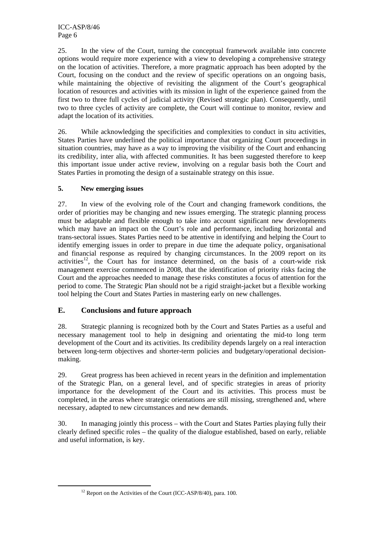ICC-ASP/8/46 Page 6

25. In the view of the Court, turning the conceptual framework available into concrete options would require more experience with a view to developing a comprehensive strategy on the location of activities. Therefore, a more pragmatic approach has been adopted by the Court, focusing on the conduct and the review of specific operations on an ongoing basis, while maintaining the objective of revisiting the alignment of the Court's geographical location of resources and activities with its mission in light of the experience gained from the first two to three full cycles of judicial activity (Revised strategic plan). Consequently, until two to three cycles of activity are complete, the Court will continue to monitor, review and adapt the location of its activities.

26. While acknowledging the specificities and complexities to conduct in situ activities, States Parties have underlined the political importance that organizing Court proceedings in situation countries, may have as a way to improving the visibility of the Court and enhancing its credibility, inter alia, with affected communities. It has been suggested therefore to keep this important issue under active review, involving on a regular basis both the Court and States Parties in promoting the design of a sustainable strategy on this issue.

#### **5. New emerging issues**

27. In view of the evolving role of the Court and changing framework conditions, the order of priorities may be changing and new issues emerging. The strategic planning process must be adaptable and flexible enough to take into account significant new developments which may have an impact on the Court's role and performance, including horizontal and trans-sectoral issues. States Parties need to be attentive in identifying and helping the Court to identify emerging issues in order to prepare in due time the adequate policy, organisational and financial response as required by changing circumstances. In the 2009 report on its activities<sup>12</sup>, the Court has for instance determined, on the basis of a court-wide risk management exercise commenced in 2008, that the identification of priority risks facing the Court and the approaches needed to manage these risks constitutes a focus of attention for the period to come. The Strategic Plan should not be a rigid straight-jacket but a flexible working tool helping the Court and States Parties in mastering early on new challenges.

#### **E. Conclusions and future approach**

28. Strategic planning is recognized both by the Court and States Parties as a useful and necessary management tool to help in designing and orientating the mid-to long term development of the Court and its activities. Its credibility depends largely on a real interaction between long-term objectives and shorter-term policies and budgetary/operational decisionmaking.

29. Great progress has been achieved in recent years in the definition and implementation of the Strategic Plan, on a general level, and of specific strategies in areas of priority importance for the development of the Court and its activities. This process must be completed, in the areas where strategic orientations are still missing, strengthened and, where necessary, adapted to new circumstances and new demands.

30. In managing jointly this process – with the Court and States Parties playing fully their clearly defined specific roles – the quality of the dialogue established, based on early, reliable and useful information, is key.

 $12$  Report on the Activities of the Court (ICC-ASP/8/40), para. 100.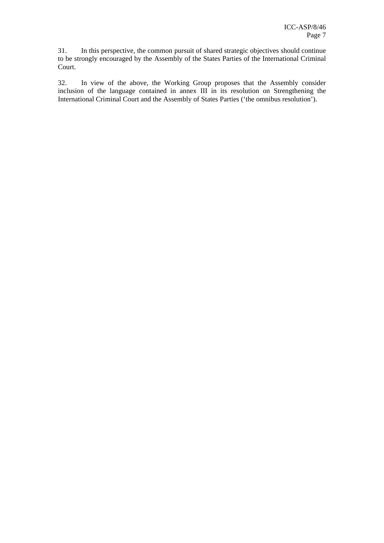31. In this perspective, the common pursuit of shared strategic objectives should continue to be strongly encouraged by the Assembly of the States Parties of the International Criminal Court.

32. In view of the above, the Working Group proposes that the Assembly consider inclusion of the language contained in annex III in its resolution on Strengthening the International Criminal Court and the Assembly of States Parties ('the omnibus resolution').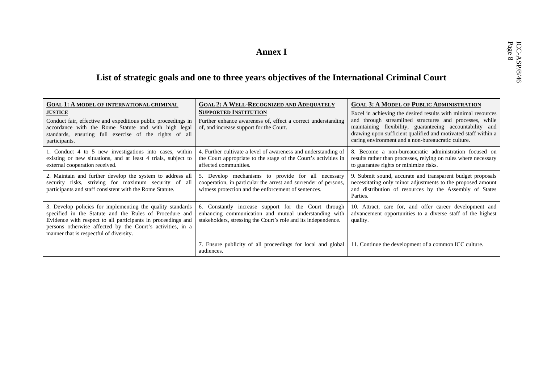# Annex I<br>List of strategic goals and one to three years objectives of the International Criminal Court

| <b>GOAL 1: A MODEL OF INTERNATIONAL CRIMINAL</b><br><b>JUSTICE</b><br>Conduct fair, effective and expeditious public proceedings in<br>accordance with the Rome Statute and with high legal<br>standards, ensuring full exercise of the rights of all<br>participants.                         | <b>GOAL 2: A WELL-RECOGNIZED AND ADEQUATELY</b><br><b>SUPPORTED INSTITUTION</b><br>Further enhance awareness of, effect a correct understanding<br>of, and increase support for the Court. | <b>GOAL 3: A MODEL OF PUBLIC ADMINISTRATION</b><br>Excel in achieving the desired results with minimal resources<br>and through streamlined structures and processes, while<br>maintaining flexibility, guaranteeing accountability and<br>drawing upon sufficient qualified and motivated staff within a<br>caring environment and a non-bureaucratic culture. |
|------------------------------------------------------------------------------------------------------------------------------------------------------------------------------------------------------------------------------------------------------------------------------------------------|--------------------------------------------------------------------------------------------------------------------------------------------------------------------------------------------|-----------------------------------------------------------------------------------------------------------------------------------------------------------------------------------------------------------------------------------------------------------------------------------------------------------------------------------------------------------------|
| 1. Conduct 4 to 5 new investigations into cases, within<br>existing or new situations, and at least 4 trials, subject to<br>external cooperation received.                                                                                                                                     | 4. Further cultivate a level of awareness and understanding of<br>the Court appropriate to the stage of the Court's activities in<br>affected communities.                                 | 8. Become a non-bureaucratic administration focused on<br>results rather than processes, relying on rules where necessary<br>to guarantee rights or minimize risks.                                                                                                                                                                                             |
| 2. Maintain and further develop the system to address all<br>security risks, striving for maximum security of all<br>participants and staff consistent with the Rome Statute.                                                                                                                  | 5. Develop mechanisms to provide for all necessary<br>cooperation, in particular the arrest and surrender of persons,<br>witness protection and the enforcement of sentences.              | 9. Submit sound, accurate and transparent budget proposals<br>necessitating only minor adjustments to the proposed amount<br>and distribution of resources by the Assembly of States<br>Parties.                                                                                                                                                                |
| 3. Develop policies for implementing the quality standards<br>specified in the Statute and the Rules of Procedure and<br>Evidence with respect to all participants in proceedings and<br>persons otherwise affected by the Court's activities, in a<br>manner that is respectful of diversity. | 6. Constantly increase support for the Court through<br>enhancing communication and mutual understanding with<br>stakeholders, stressing the Court's role and its independence.            | 10. Attract, care for, and offer career development and<br>advancement opportunities to a diverse staff of the highest<br>quality.                                                                                                                                                                                                                              |
|                                                                                                                                                                                                                                                                                                | 7. Ensure publicity of all proceedings for local and global<br>audiences.                                                                                                                  | 11. Continue the development of a common ICC culture.                                                                                                                                                                                                                                                                                                           |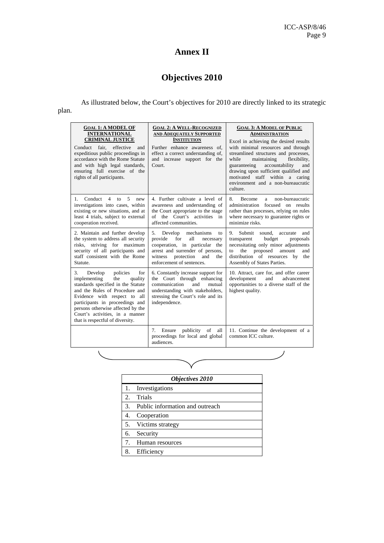## **Annex II**

# **Objectives 2010**

As illustrated below, the Court's objectives for 2010 are directly linked to its strategic

| $\sim$<br>$-$ |
|---------------|
|---------------|

| <b>GOAL 1: A MODEL OF</b><br><b>INTERNATIONAL</b><br><b>CRIMINAL JUSTICE</b><br>fair.<br>effective<br>Conduct<br>and<br>expeditious public proceedings in<br>accordance with the Rome Statute<br>and with high legal standards,<br>ensuring full exercise of the<br>rights of all participants.                           | <b>GOAL 2: A WELL-RECOGNIZED</b><br><b>AND ADEQUATELY SUPPORTED</b><br><b>INSTITUTION</b><br>Further enhance awareness of.<br>effect a correct understanding of,<br>and increase support for the<br>Court.           | <b>GOAL 3: A MODEL OF PUBLIC</b><br>ADMINISTRATION<br>Excel in achieving the desired results<br>with minimal resources and through<br>streamlined structures and processes,<br>maintaining<br>flexibility,<br>while<br>guaranteeing<br>accountability<br>and<br>drawing upon sufficient qualified and<br>motivated staff within a caring<br>environment and a non-bureaucratic<br>culture. |
|---------------------------------------------------------------------------------------------------------------------------------------------------------------------------------------------------------------------------------------------------------------------------------------------------------------------------|----------------------------------------------------------------------------------------------------------------------------------------------------------------------------------------------------------------------|--------------------------------------------------------------------------------------------------------------------------------------------------------------------------------------------------------------------------------------------------------------------------------------------------------------------------------------------------------------------------------------------|
| $\overline{4}$<br>5<br>Conduct<br>1<br>to<br>new<br>investigations into cases, within<br>existing or new situations, and at<br>least 4 trials, subject to external<br>cooperation received.                                                                                                                               | 4. Further cultivate a level of<br>awareness and understanding of<br>the Court appropriate to the stage<br>the Court's activities<br>of<br>in<br>affected communities.                                               | 8.<br>non-bureaucratic<br><b>Become</b><br>a<br>administration<br>focused on results<br>rather than processes, relying on rules<br>where necessary to guarantee rights or<br>minimize risks.                                                                                                                                                                                               |
| 2. Maintain and further develop<br>the system to address all security<br>risks, striving for maximum<br>security of all participants and<br>staff consistent with the Rome<br>Statute.                                                                                                                                    | 5.<br>mechanisms<br>Develop<br>to<br>provide<br>for<br>all<br>necessary<br>cooperation, in particular<br>the<br>arrest and surrender of persons,<br>protection<br>witness<br>and<br>the<br>enforcement of sentences. | Submit<br>sound.<br>9.<br>and<br>accurate<br>transparent<br>budget<br>proposals<br>necessitating only minor adjustments<br>proposed<br>amount<br>the<br>and<br>to<br>distribution of resources by<br>the<br>Assembly of States Parties.                                                                                                                                                    |
| 3.<br>Develop<br>policies<br>for<br>implementing<br>the<br>quality<br>standards specified in the Statute<br>and the Rules of Procedure and<br>Evidence with respect to all<br>participants in proceedings and<br>persons otherwise affected by the<br>Court's activities, in a manner<br>that is respectful of diversity. | 6. Constantly increase support for<br>the Court through enhancing<br>communication<br>and<br>mutual<br>understanding with stakeholders,<br>stressing the Court's role and its<br>independence.                       | 10. Attract, care for, and offer career<br>development<br>and<br>advancement<br>opportunities to a diverse staff of the<br>highest quality.                                                                                                                                                                                                                                                |
|                                                                                                                                                                                                                                                                                                                           | publicity<br>7.<br>Ensure<br>of<br>all<br>proceedings for local and global<br>audiences.                                                                                                                             | 11. Continue the development of a<br>common ICC culture.                                                                                                                                                                                                                                                                                                                                   |
|                                                                                                                                                                                                                                                                                                                           |                                                                                                                                                                                                                      |                                                                                                                                                                                                                                                                                                                                                                                            |

| <b>Objectives 2010</b> |                                 |  |
|------------------------|---------------------------------|--|
| 1.                     | Investigations                  |  |
| 2.                     | Trials                          |  |
| 3.                     | Public information and outreach |  |
| 4.                     | Cooperation                     |  |
| 5.                     | Victims strategy                |  |
| 6.                     | Security                        |  |
| 7.                     | Human resources                 |  |
| 8.                     | Efficiency                      |  |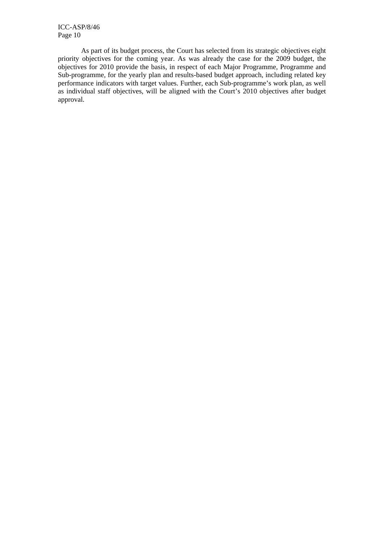ICC-ASP/8/46 Page 10

As part of its budget process, the Court has selected from its strategic objectives eight priority objectives for the coming year. As was already the case for the 2009 budget, the objectives for 2010 provide the basis, in respect of each Major Programme, Programme and Sub-programme, for the yearly plan and results-based budget approach, including related key performance indicators with target values. Further, each Sub-programme's work plan, as well as individual staff objectives, will be aligned with the Court's 2010 objectives after budget approval.